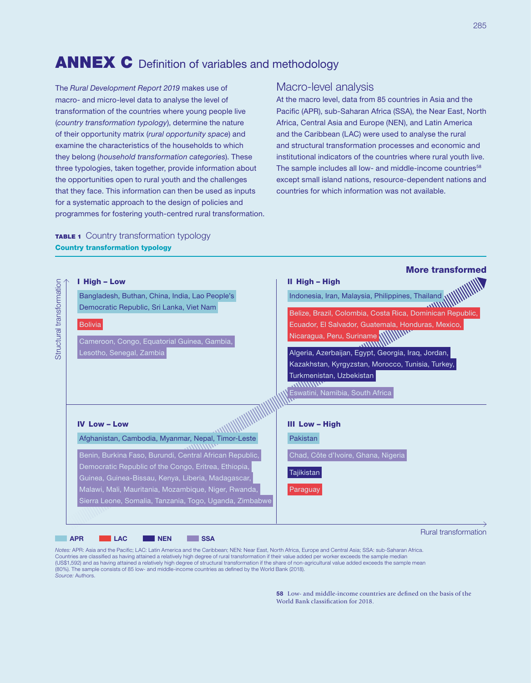# ANNEX C Definition of variables and methodology

The *Rural Development Report 2019* makes use of macro- and micro-level data to analyse the level of transformation of the countries where young people live (*country transformation typology*), determine the nature of their opportunity matrix (*rural opportunity space*) and examine the characteristics of the households to which they belong (*household transformation categories*). These three typologies, taken together, provide information about the opportunities open to rural youth and the challenges that they face. This information can then be used as inputs for a systematic approach to the design of policies and programmes for fostering youth-centred rural transformation.

### Macro-level analysis

At the macro level, data from 85 countries in Asia and the Pacific (APR), sub-Saharan Africa (SSA), the Near East, North Africa, Central Asia and Europe (NEN), and Latin America and the Caribbean (LAC) were used to analyse the rural and structural transformation processes and economic and institutional indicators of the countries where rural youth live. The sample includes all low- and middle-income countries<sup>58</sup> except small island nations, resource-dependent nations and countries for which information was not available.

# **TABLE 1** Country transformation typology Country transformation typology



*Notes:* APR: Asia and the Pacific; LAC: Latin America and the Caribbean; NEN: Near East, North Africa, Europe and Central Asia; SSA: sub-Saharan Africa. Countries are classified as having attained a relatively high degree of rural transformation if their value added per worker exceeds the sample median (US\$1,592) and as having attained a relatively high degree of structural transformation if the share of non-agricultural value added exceeds the sample mean (80%). The sample consists of 85 low- and middle-income countries as defined by the World Bank (2018). *Source:* Authors.

> 58 Low- and middle-income countries are defined on the basis of the World Bank classification for 2018.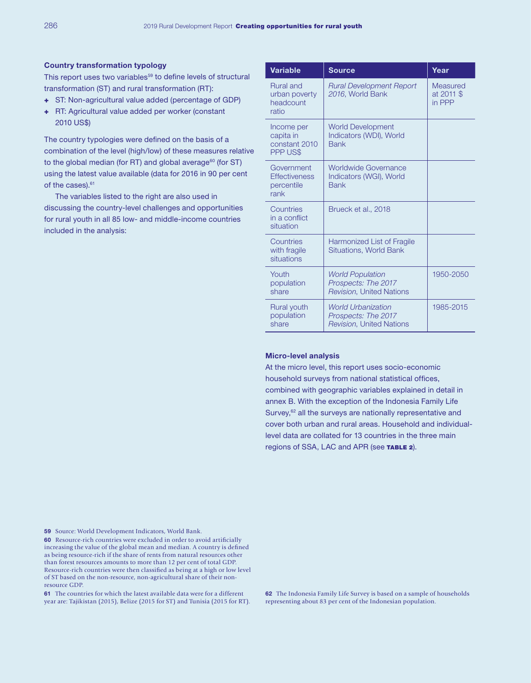#### Country transformation typology

This report uses two variables<sup>59</sup> to define levels of structural transformation (ST) and rural transformation (RT):

- + ST: Non-agricultural value added (percentage of GDP)
- + RT: Agricultural value added per worker (constant 2010 US\$)

The country typologies were defined on the basis of a combination of the level (high/low) of these measures relative to the global median (for RT) and global average<sup>60</sup> (for ST) using the latest value available (data for 2016 in 90 per cent of the cases).<sup>61</sup>

The variables listed to the right are also used in discussing the country-level challenges and opportunities for rural youth in all 85 low- and middle-income countries included in the analysis:

| <b>Variable</b>                                          | <b>Source</b>                                                                       | Year                             |
|----------------------------------------------------------|-------------------------------------------------------------------------------------|----------------------------------|
| <b>Rural and</b><br>urban poverty<br>headcount<br>ratio  | <b>Rural Development Report</b><br>2016, World Bank                                 | Measured<br>at 2011 \$<br>in PPP |
| Income per<br>capita in<br>constant 2010<br>PPP US\$     | <b>World Development</b><br>Indicators (WDI), World<br><b>Bank</b>                  |                                  |
| Government<br><b>Effectiveness</b><br>percentile<br>rank | Worldwide Governance<br>Indicators (WGI), World<br><b>Bank</b>                      |                                  |
| Countries<br>in a conflict<br>situation                  | Brueck et al., 2018                                                                 |                                  |
| Countries<br>with fragile<br>situations                  | Harmonized List of Fragile<br><b>Situations, World Bank</b>                         |                                  |
| Youth<br>population<br>share                             | <b>World Population</b><br>Prospects: The 2017<br><b>Revision, United Nations</b>   | 1950-2050                        |
| Rural youth<br>population<br>share                       | <b>World Urbanization</b><br>Prospects: The 2017<br><b>Revision, United Nations</b> | 1985-2015                        |

#### Micro-level analysis

At the micro level, this report uses socio-economic household surveys from national statistical offices, combined with geographic variables explained in detail in annex B. With the exception of the Indonesia Family Life Survey,<sup>62</sup> all the surveys are nationally representative and cover both urban and rural areas. Household and individuallevel data are collated for 13 countries in the three main regions of SSA, LAC and APR (see TABLE 2).

59 Source: World Development Indicators, World Bank.

60 Resource-rich countries were excluded in order to avoid artificially increasing the value of the global mean and median. A country is defined as being resource-rich if the share of rents from natural resources other than forest resources amounts to more than 12 per cent of total GDP. Resource-rich countries were then classified as being at a high or low level of ST based on the non-resource, non-agricultural share of their nonresource GDP.

61 The countries for which the latest available data were for a different year are: Tajikistan (2015), Belize (2015 for ST) and Tunisia (2015 for RT). 62 The Indonesia Family Life Survey is based on a sample of households representing about 83 per cent of the Indonesian population.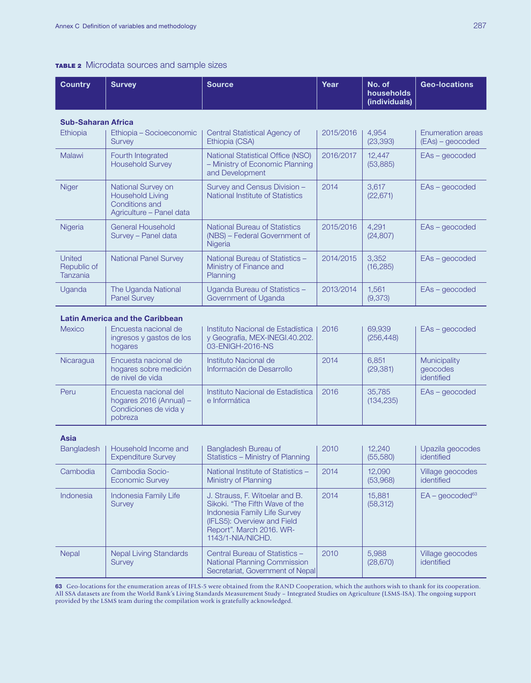#### TABLE 2 Microdata sources and sample sizes

| <b>Country</b>                                                                                                                                                                | <b>Survey</b>                                                                               | <b>Source</b>                                                                           | Year      | No. of<br>households<br>(individuals) | <b>Geo-locations</b>                     |
|-------------------------------------------------------------------------------------------------------------------------------------------------------------------------------|---------------------------------------------------------------------------------------------|-----------------------------------------------------------------------------------------|-----------|---------------------------------------|------------------------------------------|
|                                                                                                                                                                               | <b>Sub-Saharan Africa</b>                                                                   |                                                                                         |           |                                       |                                          |
| <b>Ethiopia</b>                                                                                                                                                               | Ethiopia – Socioeconomic<br><b>Survey</b>                                                   | Central Statistical Agency of<br>Ethiopia (CSA)                                         | 2015/2016 | 4.954<br>(23, 393)                    | Enumeration areas<br>$( EAs) - geocoded$ |
| Malawi                                                                                                                                                                        | Fourth Integrated<br><b>Household Survey</b>                                                | National Statistical Office (NSO)<br>- Ministry of Economic Planning<br>and Development | 2016/2017 | 12,447<br>(53, 885)                   | $EAs - geocode$                          |
| <b>Niger</b>                                                                                                                                                                  | National Survey on<br><b>Household Living</b><br>Conditions and<br>Agriculture - Panel data | Survey and Census Division -<br>National Institute of Statistics                        | 2014      | 3,617<br>(22, 671)                    | $EAs - geocode$                          |
| Nigeria                                                                                                                                                                       | <b>General Household</b><br>Survey - Panel data                                             | <b>National Bureau of Statistics</b><br>(NBS) – Federal Government of<br>Nigeria        | 2015/2016 | 4,291<br>(24, 807)                    | $EAs - geocode$                          |
| <b>United</b><br>Republic of<br>Tanzania                                                                                                                                      | <b>National Panel Survey</b>                                                                | National Bureau of Statistics -<br>Ministry of Finance and<br>Planning                  | 2014/2015 | 3,352<br>(16, 285)                    | $EAs - geocode$                          |
| Uganda                                                                                                                                                                        | The Uganda National<br><b>Panel Survey</b>                                                  | Uganda Bureau of Statistics -<br>Government of Uganda                                   | 2013/2014 | 1.561<br>(9,373)                      | $EAs - geocode$                          |
| <b>Latin America and the Caribbean</b><br><b>Mexico</b><br>Encuesta nacional de<br>Instituto Nacional de Estadística<br>2016<br>69,939<br>$EAs - geocode$<br>$(0.70 \pm 1.0)$ |                                                                                             |                                                                                         |           |                                       |                                          |

| <b>NEXICO</b>    | Encuesta nacional de<br>ingresos y gastos de los<br>hogares                              | Instituto Nacional de Estadística<br>y Geografía, MEX-INEGI.40.202.<br>03-ENIGH-2016-NS | <b>2016</b> | <b>PA.ARA</b><br>(256, 448) | EAS - geocoded                         |
|------------------|------------------------------------------------------------------------------------------|-----------------------------------------------------------------------------------------|-------------|-----------------------------|----------------------------------------|
| <b>Nicaragua</b> | Encuesta nacional de<br>hogares sobre medición<br>de nivel de vida                       | Instituto Nacional de<br>Información de Desarrollo                                      | 2014        | 6.851<br>(29, 381)          | Municipality<br>geocodes<br>identified |
| Peru             | Encuesta nacional del<br>hogares $2016$ (Annual) $-$<br>Condiciones de vida y<br>pobreza | Instituto Nacional de Estadística<br>e Informática                                      | 2016        | 35,785<br>(134, 235)        | $EAs - geocode$                        |

#### Asia

| <b>Bangladesh</b> | Household Income and<br><b>Expenditure Survey</b> | Bangladesh Bureau of<br>Statistics - Ministry of Planning                                                                                                                        | 2010 | 12.240<br>(55,580)  | Upazila geocodes<br>identified |
|-------------------|---------------------------------------------------|----------------------------------------------------------------------------------------------------------------------------------------------------------------------------------|------|---------------------|--------------------------------|
| Cambodia          | Cambodia Socio-<br><b>Economic Survey</b>         | National Institute of Statistics -<br>Ministry of Planning                                                                                                                       | 2014 | 12.090<br>(53,968)  | Village geocodes<br>identified |
| Indonesia         | Indonesia Family Life<br>Survey                   | J. Strauss, F. Witoelar and B.<br>Sikoki. "The Fifth Wave of the<br>Indonesia Family Life Survey<br>(IFLS5): Overview and Field<br>Report". March 2016. WR-<br>1143/1-NIA/NICHD. | 2014 | 15,881<br>(58, 312) | $EA - geocoded63$              |
| <b>Nepal</b>      | <b>Nepal Living Standards</b><br><b>Survey</b>    | Central Bureau of Statistics -<br>National Planning Commission<br>Secretariat, Government of Nepal                                                                               | 2010 | 5.988<br>(28, 670)  | Village geocodes<br>identified |

63 Geo-locations for the enumeration areas of IFLS-5 were obtained from the RAND Cooperation, which the authors wish to thank for its cooperation. All SSA datasets are from the World Bank's Living Standards Measurement Study – Integrated Studies on Agriculture (LSMS-ISA). The ongoing support provided by the LSMS team during the compilation work is gratefully acknowledged.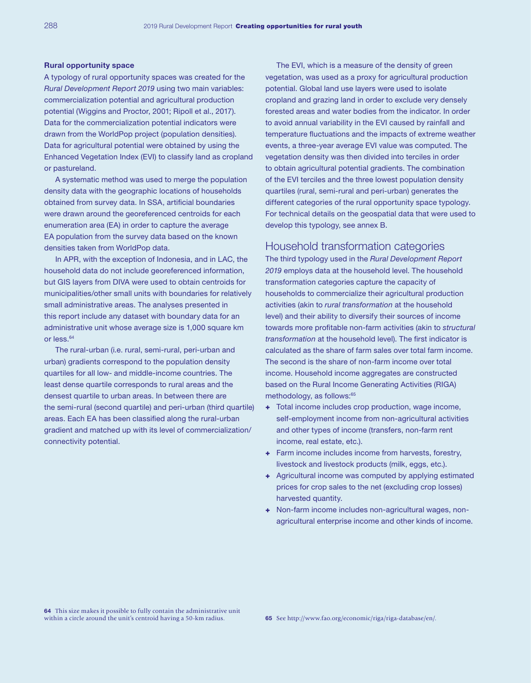#### Rural opportunity space

A typology of rural opportunity spaces was created for the *Rural Development Report 2019* using two main variables: commercialization potential and agricultural production potential ([Wiggins and Proctor, 2001;](https://onlinelibrary.wiley.com/doi/abs/10.1111/1467-7679.00142) [Ripoll et al., 2017](http://journals.sagepub.com/doi/abs/10.1177/0030727017724669)). Data for the commercialization potential indicators were drawn from the [WorldPop](http://www.worldpop.org.uk/) project (population densities). Data for agricultural potential were obtained by using the Enhanced Vegetation Index [\(EVI](https://gcmd.nasa.gov/KeywordSearch/Metadata.do?Portal=NASA&KeywordPath=Parameters%7CAGRICULTURE%7CSOILS%7CRECLAMATION%2FREVEGETATION%2FRESTORATION&OrigMetadataNode=GCMD&EntryId=MEaSUREs_VIP_EVI&MetadataView=Full&MetadataType=0&lbnode=mdlb3)) to classify land as cropland or pastureland.

A systematic method was used to merge the population density data with the geographic locations of households obtained from survey data. In SSA, artificial boundaries were drawn around the georeferenced centroids for each enumeration area (EA) in order to capture the average EA population from the survey data based on the known densities taken from WorldPop data.

In APR, with the exception of Indonesia, and in LAC, the household data do not include georeferenced information, but GIS layers from DIVA were used to obtain centroids for municipalities/other small units with boundaries for relatively small administrative areas. The analyses presented in this report include any dataset with boundary data for an administrative unit whose average size is 1,000 square km or less.<sup>64</sup>

The rural-urban (i.e. rural, semi-rural, peri-urban and urban) gradients correspond to the population density quartiles for all low- and middle-income countries. The least dense quartile corresponds to rural areas and the densest quartile to urban areas. In between there are the semi-rural (second quartile) and peri-urban (third quartile) areas. Each EA has been classified along the rural-urban gradient and matched up with its level of commercialization/ connectivity potential.

The EVI, which is a measure of the density of green vegetation, was used as a proxy for agricultural production potential. Global land use layers were used to isolate cropland and grazing land in order to exclude very densely forested areas and water bodies from the indicator. In order to avoid annual variability in the EVI caused by rainfall and temperature fluctuations and the impacts of extreme weather events, a three-year average EVI value was computed. The vegetation density was then divided into terciles in order to obtain agricultural potential gradients. The combination of the EVI terciles and the three lowest population density quartiles (rural, semi-rural and peri-urban) generates the different categories of the rural opportunity space typology. For technical details on the geospatial data that were used to develop this typology, see annex B.

# Household transformation categories

The third typology used in the *Rural Development Report 2019* employs data at the household level. The household transformation categories capture the capacity of households to commercialize their agricultural production activities (akin to *rural transformation* at the household level) and their ability to diversify their sources of income towards more profitable non-farm activities (akin to *structural transformation* at the household level). The first indicator is calculated as the share of farm sales over total farm income. The second is the share of non-farm income over total income. Household income aggregates are constructed based on the Rural Income Generating Activities (RIGA) methodology, as follows:<sup>65</sup>

- + Total income includes crop production, wage income, self-employment income from non-agricultural activities and other types of income (transfers, non-farm rent income, real estate, etc.).
- + Farm income includes income from harvests, forestry, livestock and livestock products (milk, eggs, etc.).
- + Agricultural income was computed by applying estimated prices for crop sales to the net (excluding crop losses) harvested quantity.
- + Non-farm income includes non-agricultural wages, nonagricultural enterprise income and other kinds of income.

64 This size makes it possible to fully contain the administrative unit within a circle around the unit's centroid having a 50-km radius.